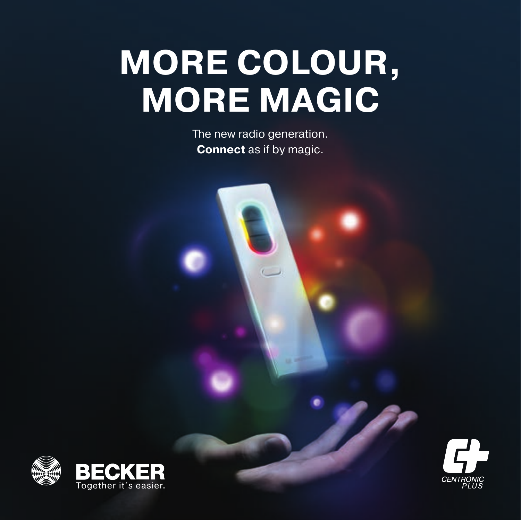# **MORE COLOUR, MORE MAGIC**

The new radio generation. **Connect** as if by magic.



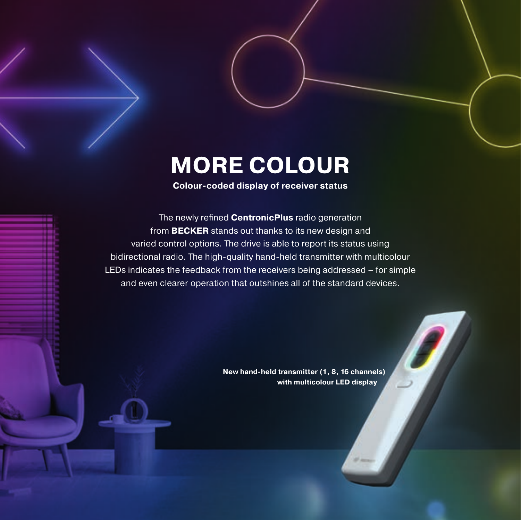### **MORE COLOUR**

#### **Colour-coded display of receiver status**

The newly refined **CentronicPlus** radio generation from **BECKER** stands out thanks to its new design and varied control options. The drive is able to report its status using bidirectional radio. The high-quality hand-held transmitter with multicolour LEDs indicates the feedback from the receivers being addressed – for simple and even clearer operation that outshines all of the standard devices.

> **New hand-held transmitter (1, 8, 16 channels) with multicolour LED display**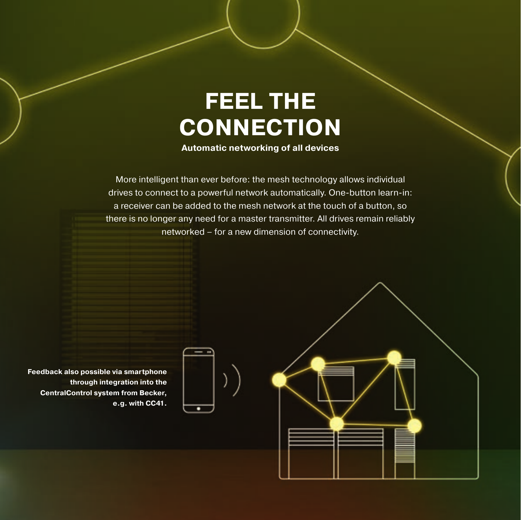## **FEEL THE CONNECTION**

**Automatic networking of all devices**

More intelligent than ever before: the mesh technology allows individual drives to connect to a powerful network automatically. One-button learn-in: a receiver can be added to the mesh network at the touch of a button, so there is no longer any need for a master transmitter. All drives remain reliably networked – for a new dimension of connectivity.

**Feedback also possible via smartphone through integration into the CentralControl system from Becker, e.g. with CC41.**



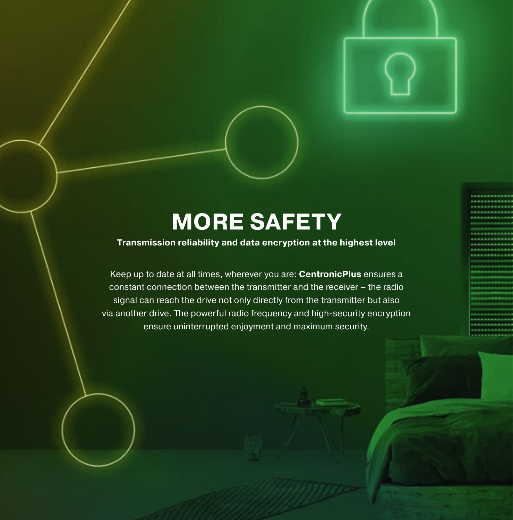### **MORE SAFETY**

#### **Transmission reliability and data encryption at the highest level**

Keep up to date at all times, wherever you are: **CentronicPlus** ensures a constant connection between the transmitter and the receiver – the radio signal can reach the drive not only directly from the transmitter but also via another drive. The powerful radio frequency and high-security encryption ensure uninterrupted enjoyment and maximum security.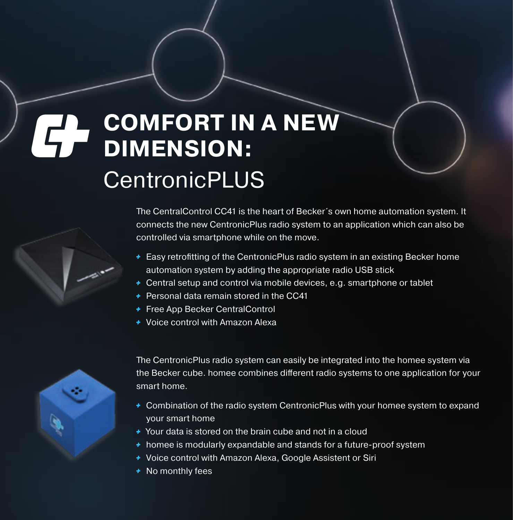### **COMFORT IN A NEW**   $\mathbf{G}$ **DIMENSION: CentronicPLUS**

The CentralControl CC41 is the heart of Becker´s own home automation system. It connects the new CentronicPlus radio system to an application which can also be controlled via smartphone while on the move.

- $\overline{\phantom{a}}$  Easy retrofitting of the CentronicPlus radio system in an existing Becker home automation system by adding the appropriate radio USB stick
- + Central setup and control via mobile devices, e.g. smartphone or tablet
- **+** Personal data remain stored in the CC41
- **Free App Becker CentralControl**
- + Voice control with Amazon Alexa



The CentronicPlus radio system can easily be integrated into the homee system via the Becker cube. homee combines different radio systems to one application for your smart home.

- Combination of the radio system CentronicPlus with your homee system to expand your smart home
- Your data is stored on the brain cube and not in a cloud
- + homee is modularly expandable and stands for a future-proof system
- + Voice control with Amazon Alexa, Google Assistent or Siri
- **+** No monthly fees